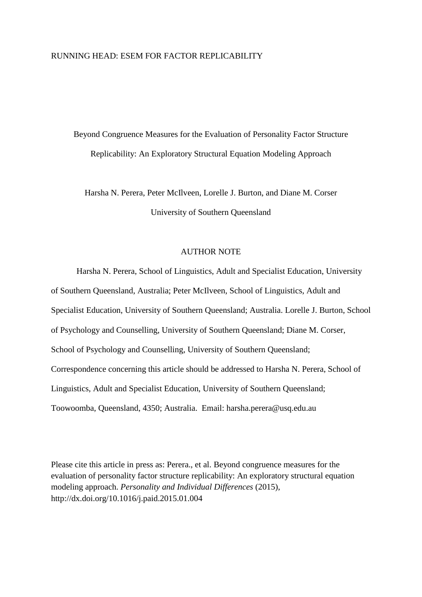### RUNNING HEAD: ESEM FOR FACTOR REPLICABILITY

Beyond Congruence Measures for the Evaluation of Personality Factor Structure Replicability: An Exploratory Structural Equation Modeling Approach

Harsha N. Perera, Peter McIlveen, Lorelle J. Burton, and Diane M. Corser University of Southern Queensland

## AUTHOR NOTE

Harsha N. Perera, School of Linguistics, Adult and Specialist Education, University of Southern Queensland, Australia; Peter McIlveen, School of Linguistics, Adult and Specialist Education, University of Southern Queensland; Australia. Lorelle J. Burton, School of Psychology and Counselling, University of Southern Queensland; Diane M. Corser, School of Psychology and Counselling, University of Southern Queensland; Correspondence concerning this article should be addressed to Harsha N. Perera, School of Linguistics, Adult and Specialist Education, University of Southern Queensland; Toowoomba, Queensland, 4350; Australia. Email: harsha.perera@usq.edu.au

Please cite this article in press as: Perera., et al. Beyond congruence measures for the evaluation of personality factor structure replicability: An exploratory structural equation modeling approach. *Personality and Individual Differences* (2015), http://dx.doi.org/10.1016/j.paid.2015.01.004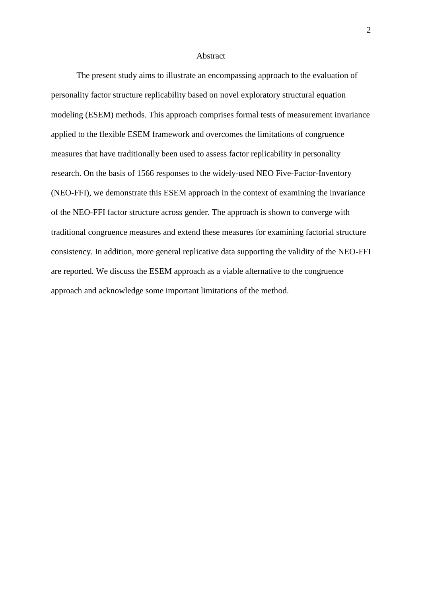#### Abstract

The present study aims to illustrate an encompassing approach to the evaluation of personality factor structure replicability based on novel exploratory structural equation modeling (ESEM) methods. This approach comprises formal tests of measurement invariance applied to the flexible ESEM framework and overcomes the limitations of congruence measures that have traditionally been used to assess factor replicability in personality research. On the basis of 1566 responses to the widely-used NEO Five-Factor-Inventory (NEO-FFI), we demonstrate this ESEM approach in the context of examining the invariance of the NEO-FFI factor structure across gender. The approach is shown to converge with traditional congruence measures and extend these measures for examining factorial structure consistency. In addition, more general replicative data supporting the validity of the NEO-FFI are reported. We discuss the ESEM approach as a viable alternative to the congruence approach and acknowledge some important limitations of the method.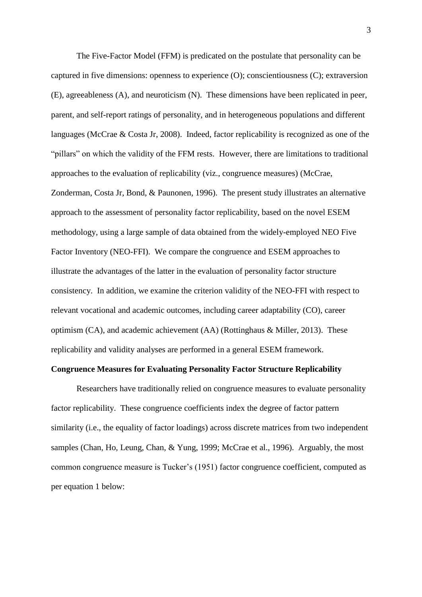The Five-Factor Model (FFM) is predicated on the postulate that personality can be captured in five dimensions: openness to experience (O); conscientiousness (C); extraversion (E), agreeableness (A), and neuroticism (N). These dimensions have been replicated in peer, parent, and self-report ratings of personality, and in heterogeneous populations and different languages (McCrae & Costa Jr, 2008). Indeed, factor replicability is recognized as one of the "pillars" on which the validity of the FFM rests. However, there are limitations to traditional approaches to the evaluation of replicability (viz., congruence measures) [\(McCrae,](#page-21-0)  [Zonderman, Costa Jr, Bond, & Paunonen, 1996\)](#page-21-0). The present study illustrates an alternative approach to the assessment of personality factor replicability, based on the novel ESEM methodology, using a large sample of data obtained from the widely-employed NEO Five Factor Inventory (NEO-FFI). We compare the congruence and ESEM approaches to illustrate the advantages of the latter in the evaluation of personality factor structure consistency. In addition, we examine the criterion validity of the NEO-FFI with respect to relevant vocational and academic outcomes, including career adaptability (CO), career optimism (CA), and academic achievement (AA) (Rottinghaus & Miller, 2013). These replicability and validity analyses are performed in a general ESEM framework.

## **Congruence Measures for Evaluating Personality Factor Structure Replicability**

Researchers have traditionally relied on congruence measures to evaluate personality factor replicability. These congruence coefficients index the degree of factor pattern similarity (i.e., the equality of factor loadings) across discrete matrices from two independent samples [\(Chan, Ho, Leung, Chan, & Yung, 1999;](#page-18-0) [McCrae et al., 1996\)](#page-21-0). Arguably, the most common congruence measure is Tucker's (1951) factor congruence coefficient, computed as per equation 1 below: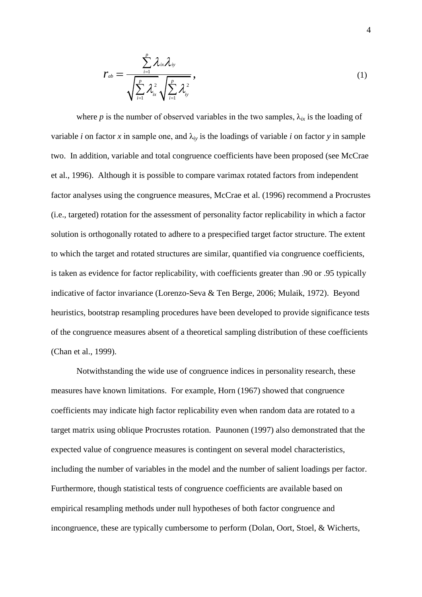$$
r_{ab} = \frac{\sum_{i=1}^{p} \lambda_{ix} \lambda_{iy}}{\sqrt{\sum_{i=1}^{p} \lambda_{ix}^{2}} \sqrt{\sum_{i=1}^{p} \lambda_{iy}^{2}}},
$$
\n(1)

where *p* is the number of observed variables in the two samples,  $\lambda_{ix}$  is the loading of variable *i* on factor *x* in sample one, and  $\lambda_i$  is the loadings of variable *i* on factor *y* in sample two. In addition, variable and total congruence coefficients have been proposed (see McCrae et al., 1996). Although it is possible to compare varimax rotated factors from independent factor analyses using the congruence measures, McCrae et al. (1996) recommend a Procrustes (i.e., targeted) rotation for the assessment of personality factor replicability in which a factor solution is orthogonally rotated to adhere to a prespecified target factor structure. The extent to which the target and rotated structures are similar, quantified via congruence coefficients, is taken as evidence for factor replicability, with coefficients greater than .90 or .95 typically indicative of factor invariance [\(Lorenzo-Seva & Ten Berge, 2006;](#page-19-0) [Mulaik, 1972\)](#page-22-0). Beyond heuristics, bootstrap resampling procedures have been developed to provide significance tests of the congruence measures absent of a theoretical sampling distribution of these coefficients [\(Chan et al., 1999\)](#page-18-0).

Notwithstanding the wide use of congruence indices in personality research, these measures have known limitations. For example, [Horn \(1967\)](#page-19-1) showed that congruence coefficients may indicate high factor replicability even when random data are rotated to a target matrix using oblique Procrustes rotation. [Paunonen \(1997\)](#page-22-1) also demonstrated that the expected value of congruence measures is contingent on several model characteristics, including the number of variables in the model and the number of salient loadings per factor. Furthermore, though statistical tests of congruence coefficients are available based on empirical resampling methods under null hypotheses of both factor congruence and incongruence, these are typically cumbersome to perform [\(Dolan, Oort, Stoel, & Wicherts,](#page-19-2)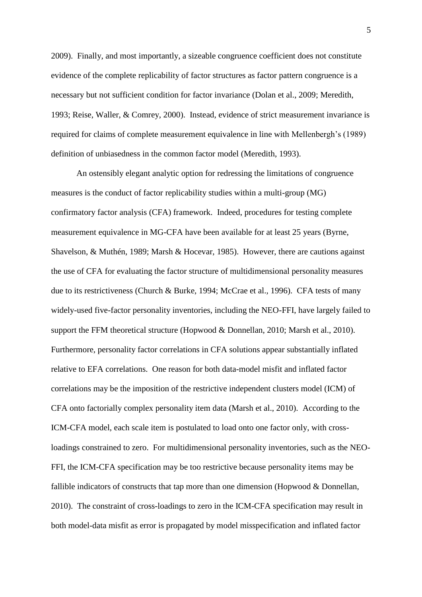[2009\)](#page-19-2). Finally, and most importantly, a sizeable congruence coefficient does not constitute evidence of the complete replicability of factor structures as factor pattern congruence is a necessary but not sufficient condition for factor invariance [\(Dolan et al., 2009;](#page-19-2) [Meredith,](#page-21-1)  [1993;](#page-21-1) [Reise, Waller, & Comrey, 2000\)](#page-22-2). Instead, evidence of strict measurement invariance is required for claims of complete measurement equivalence in line with Mellenbergh's (1989) definition of unbiasedness in the common factor model [\(Meredith, 1993\)](#page-21-1).

An ostensibly elegant analytic option for redressing the limitations of congruence measures is the conduct of factor replicability studies within a multi-group (MG) confirmatory factor analysis (CFA) framework. Indeed, procedures for testing complete measurement equivalence in MG-CFA have been available for at least 25 years [\(Byrne,](#page-18-1)  [Shavelson, & Muthén, 1989;](#page-18-1) [Marsh & Hocevar, 1985\)](#page-20-0). However, there are cautions against the use of CFA for evaluating the factor structure of multidimensional personality measures due to its restrictiveness [\(Church & Burke, 1994;](#page-18-2) [McCrae et al., 1996\)](#page-21-0). CFA tests of many widely-used five-factor personality inventories, including the NEO-FFI, have largely failed to support the FFM theoretical structure [\(Hopwood & Donnellan, 2010;](#page-19-3) [Marsh et al., 2010\)](#page-20-1). Furthermore, personality factor correlations in CFA solutions appear substantially inflated relative to EFA correlations. One reason for both data-model misfit and inflated factor correlations may be the imposition of the restrictive independent clusters model (ICM) of CFA onto factorially complex personality item data (Marsh et al., 2010). According to the ICM-CFA model, each scale item is postulated to load onto one factor only, with crossloadings constrained to zero. For multidimensional personality inventories, such as the NEO-FFI, the ICM-CFA specification may be too restrictive because personality items may be fallible indicators of constructs that tap more than one dimension (Hopwood  $&$  Donnellan, 2010). The constraint of cross-loadings to zero in the ICM-CFA specification may result in both model-data misfit as error is propagated by model misspecification and inflated factor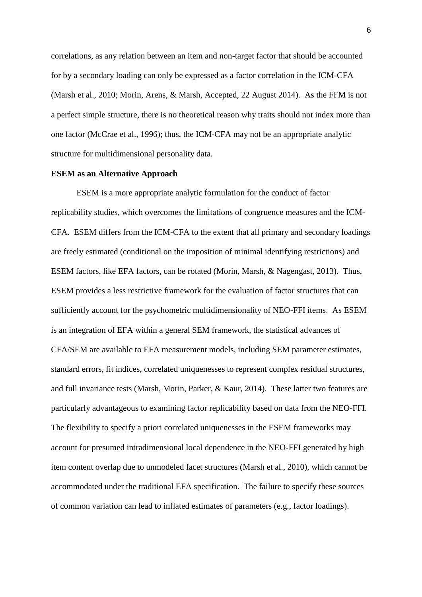correlations, as any relation between an item and non-target factor that should be accounted for by a secondary loading can only be expressed as a factor correlation in the ICM-CFA [\(Marsh et al., 2010;](#page-20-1) [Morin, Arens, & Marsh, Accepted, 22 August 2014\)](#page-22-3). As the FFM is not a perfect simple structure, there is no theoretical reason why traits should not index more than one factor (McCrae et al., 1996); thus, the ICM-CFA may not be an appropriate analytic structure for multidimensional personality data.

### **ESEM as an Alternative Approach**

ESEM is a more appropriate analytic formulation for the conduct of factor replicability studies, which overcomes the limitations of congruence measures and the ICM-CFA. ESEM differs from the ICM-CFA to the extent that all primary and secondary loadings are freely estimated (conditional on the imposition of minimal identifying restrictions) and ESEM factors, like EFA factors, can be rotated [\(Morin, Marsh, & Nagengast, 2013\)](#page-22-4). Thus, ESEM provides a less restrictive framework for the evaluation of factor structures that can sufficiently account for the psychometric multidimensionality of NEO-FFI items. As ESEM is an integration of EFA within a general SEM framework, the statistical advances of CFA/SEM are available to EFA measurement models, including SEM parameter estimates, standard errors, fit indices, correlated uniquenesses to represent complex residual structures, and full invariance tests [\(Marsh, Morin, Parker, & Kaur, 2014\)](#page-20-2). These latter two features are particularly advantageous to examining factor replicability based on data from the NEO-FFI. The flexibility to specify a priori correlated uniquenesses in the ESEM frameworks may account for presumed intradimensional local dependence in the NEO-FFI generated by high item content overlap due to unmodeled facet structures [\(Marsh et al., 2010\)](#page-20-1), which cannot be accommodated under the traditional EFA specification. The failure to specify these sources of common variation can lead to inflated estimates of parameters (e.g., factor loadings).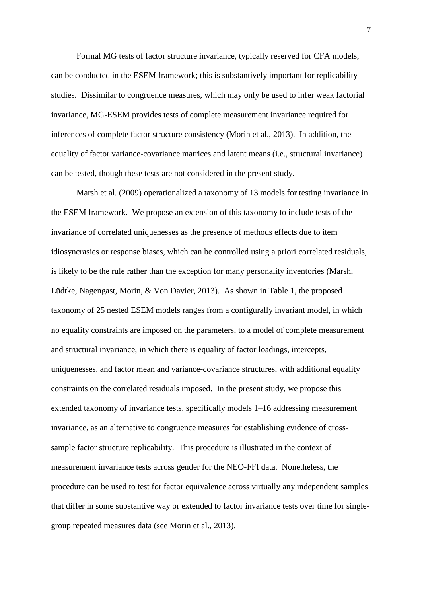Formal MG tests of factor structure invariance, typically reserved for CFA models, can be conducted in the ESEM framework; this is substantively important for replicability studies. Dissimilar to congruence measures, which may only be used to infer weak factorial invariance, MG-ESEM provides tests of complete measurement invariance required for inferences of complete factor structure consistency [\(Morin et al., 2013\)](#page-22-4). In addition, the equality of factor variance-covariance matrices and latent means (i.e., structural invariance) can be tested, though these tests are not considered in the present study.

[Marsh et al. \(2009\)](#page-20-3) operationalized a taxonomy of 13 models for testing invariance in the ESEM framework. We propose an extension of this taxonomy to include tests of the invariance of correlated uniquenesses as the presence of methods effects due to item idiosyncrasies or response biases, which can be controlled using a priori correlated residuals, is likely to be the rule rather than the exception for many personality inventories [\(Marsh,](#page-20-4)  [Lüdtke, Nagengast, Morin, & Von Davier, 2013\)](#page-20-4). As shown in Table 1, the proposed taxonomy of 25 nested ESEM models ranges from a configurally invariant model, in which no equality constraints are imposed on the parameters, to a model of complete measurement and structural invariance, in which there is equality of factor loadings, intercepts, uniquenesses, and factor mean and variance-covariance structures, with additional equality constraints on the correlated residuals imposed. In the present study, we propose this extended taxonomy of invariance tests, specifically models 1–16 addressing measurement invariance, as an alternative to congruence measures for establishing evidence of crosssample factor structure replicability. This procedure is illustrated in the context of measurement invariance tests across gender for the NEO-FFI data. Nonetheless, the procedure can be used to test for factor equivalence across virtually any independent samples that differ in some substantive way or extended to factor invariance tests over time for singlegroup repeated measures data (see Morin et al., 2013).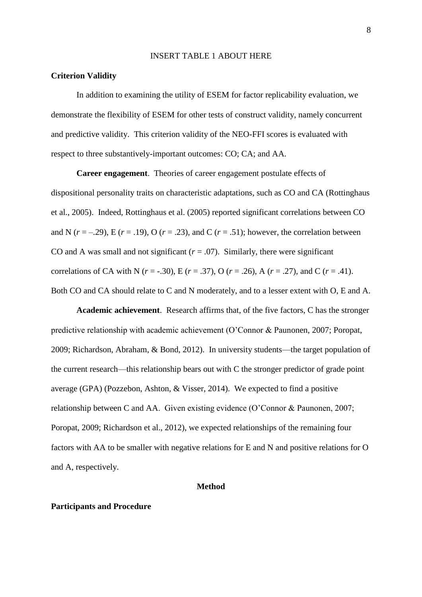#### INSERT TABLE 1 ABOUT HERE

#### **Criterion Validity**

In addition to examining the utility of ESEM for factor replicability evaluation, we demonstrate the flexibility of ESEM for other tests of construct validity, namely concurrent and predictive validity. This criterion validity of the NEO-FFI scores is evaluated with respect to three substantively-important outcomes: CO; CA; and AA.

**Career engagement**. Theories of career engagement postulate effects of dispositional personality traits on characteristic adaptations, such as CO and CA (Rottinghaus et al., 2005). Indeed, Rottinghaus et al. (2005) reported significant correlations between CO and N  $(r = -129)$ , E  $(r = 0.19)$ , O  $(r = 0.23)$ , and C  $(r = 0.51)$ ; however, the correlation between CO and A was small and not significant  $(r = .07)$ . Similarly, there were significant correlations of CA with N ( $r = -0.30$ ), E ( $r = 0.37$ ), O ( $r = 0.26$ ), A ( $r = 0.27$ ), and C ( $r = 0.41$ ). Both CO and CA should relate to C and N moderately, and to a lesser extent with O, E and A.

**Academic achievement**. Research affirms that, of the five factors, C has the stronger predictive relationship with academic achievement (O'Connor & Paunonen, 2007; Poropat, 2009; Richardson, Abraham, & Bond, 2012). In university students—the target population of the current research—this relationship bears out with C the stronger predictor of grade point average (GPA) (Pozzebon, Ashton, & Visser, 2014). We expected to find a positive relationship between C and AA. Given existing evidence (O'Connor & Paunonen, 2007; Poropat, 2009; Richardson et al., 2012), we expected relationships of the remaining four factors with AA to be smaller with negative relations for E and N and positive relations for O and A, respectively.

## **Method**

### **Participants and Procedure**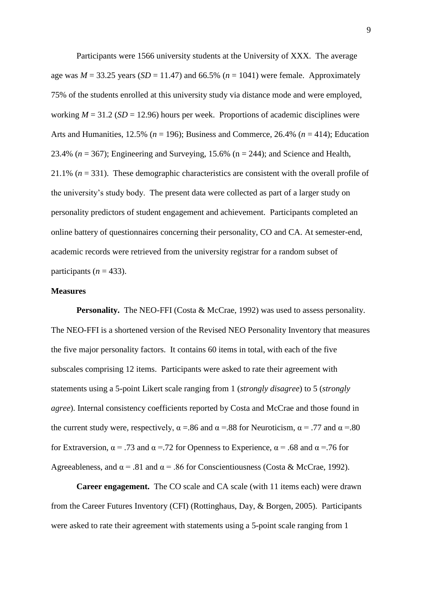Participants were 1566 university students at the University of XXX. The average age was  $M = 33.25$  years (*SD* = 11.47) and 66.5% ( $n = 1041$ ) were female. Approximately 75% of the students enrolled at this university study via distance mode and were employed, working  $M = 31.2$  ( $SD = 12.96$ ) hours per week. Proportions of academic disciplines were Arts and Humanities, 12.5% (*n* = 196); Business and Commerce, 26.4% (*n* = 414); Education 23.4% ( $n = 367$ ); Engineering and Surveying, 15.6% ( $n = 244$ ); and Science and Health, 21.1% (*n* = 331). These demographic characteristics are consistent with the overall profile of the university's study body. The present data were collected as part of a larger study on personality predictors of student engagement and achievement. Participants completed an online battery of questionnaires concerning their personality, CO and CA. At semester-end, academic records were retrieved from the university registrar for a random subset of participants  $(n = 433)$ .

## **Measures**

**Personality.** The NEO-FFI [\(Costa & McCrae, 1992\)](#page-18-3) was used to assess personality. The NEO-FFI is a shortened version of the Revised NEO Personality Inventory that measures the five major personality factors. It contains 60 items in total, with each of the five subscales comprising 12 items. Participants were asked to rate their agreement with statements using a 5-point Likert scale ranging from 1 (*strongly disagree*) to 5 (*strongly agree*). Internal consistency coefficients reported by Costa and McCrae and those found in the current study were, respectively,  $\alpha = .86$  and  $\alpha = .88$  for Neuroticism,  $\alpha = .77$  and  $\alpha = .80$ for Extraversion,  $\alpha = .73$  and  $\alpha = .72$  for Openness to Experience,  $\alpha = .68$  and  $\alpha = .76$  for Agreeableness, and  $\alpha = .81$  and  $\alpha = .86$  for Conscientiousness (Costa & McCrae, 1992).

**Career engagement.** The CO scale and CA scale (with 11 items each) were drawn from the Career Futures Inventory (CFI) [\(Rottinghaus, Day, & Borgen, 2005\)](#page-23-0). Participants were asked to rate their agreement with statements using a 5-point scale ranging from 1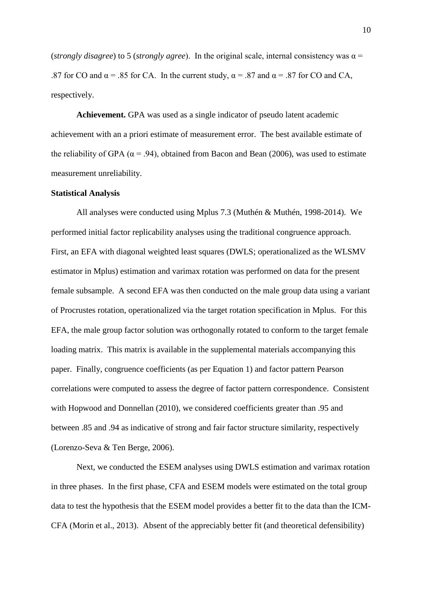(*strongly disagree*) to 5 (*strongly agree*). In the original scale, internal consistency was α = .87 for CO and  $\alpha$  = .85 for CA. In the current study,  $\alpha$  = .87 and  $\alpha$  = .87 for CO and CA, respectively.

**Achievement.** GPA was used as a single indicator of pseudo latent academic achievement with an a priori estimate of measurement error. The best available estimate of the reliability of GPA ( $\alpha$  = .94), obtained from [Bacon and Bean \(2006\)](#page-18-4), was used to estimate measurement unreliability.

#### **Statistical Analysis**

All analyses were conducted using Mplus 7.3 [\(Muthén & Muthén, 1998-2014\)](#page-22-5). We performed initial factor replicability analyses using the traditional congruence approach. First, an EFA with diagonal weighted least squares (DWLS; operationalized as the WLSMV estimator in Mplus) estimation and varimax rotation was performed on data for the present female subsample. A second EFA was then conducted on the male group data using a variant of Procrustes rotation, operationalized via the target rotation specification in Mplus. For this EFA, the male group factor solution was orthogonally rotated to conform to the target female loading matrix. This matrix is available in the supplemental materials accompanying this paper. Finally, congruence coefficients (as per Equation 1) and factor pattern Pearson correlations were computed to assess the degree of factor pattern correspondence. Consistent with Hopwood and Donnellan (2010), we considered coefficients greater than .95 and between .85 and .94 as indicative of strong and fair factor structure similarity, respectively [\(Lorenzo-Seva & Ten Berge, 2006\)](#page-19-0).

Next, we conducted the ESEM analyses using DWLS estimation and varimax rotation in three phases. In the first phase, CFA and ESEM models were estimated on the total group data to test the hypothesis that the ESEM model provides a better fit to the data than the ICM-CFA (Morin et al., 2013). Absent of the appreciably better fit (and theoretical defensibility)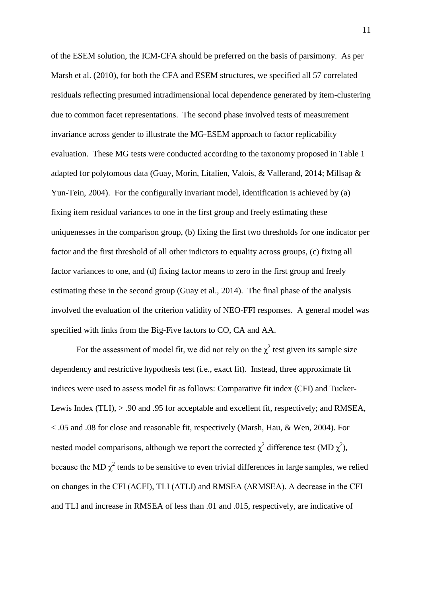of the ESEM solution, the ICM-CFA should be preferred on the basis of parsimony. As per Marsh et al. (2010), for both the CFA and ESEM structures, we specified all 57 correlated residuals reflecting presumed intradimensional local dependence generated by item-clustering due to common facet representations. The second phase involved tests of measurement invariance across gender to illustrate the MG-ESEM approach to factor replicability evaluation. These MG tests were conducted according to the taxonomy proposed in Table 1 adapted for polytomous data [\(Guay, Morin, Litalien, Valois, & Vallerand, 2014;](#page-19-4) [Millsap &](#page-21-2)  [Yun-Tein, 2004\)](#page-21-2). For the configurally invariant model, identification is achieved by (a) fixing item residual variances to one in the first group and freely estimating these uniquenesses in the comparison group, (b) fixing the first two thresholds for one indicator per factor and the first threshold of all other indictors to equality across groups, (c) fixing all factor variances to one, and (d) fixing factor means to zero in the first group and freely estimating these in the second group [\(Guay et al., 2014\)](#page-19-4). The final phase of the analysis involved the evaluation of the criterion validity of NEO-FFI responses. A general model was specified with links from the Big-Five factors to CO, CA and AA.

For the assessment of model fit, we did not rely on the  $\chi^2$  test given its sample size dependency and restrictive hypothesis test (i.e., exact fit). Instead, three approximate fit indices were used to assess model fit as follows: Comparative fit index (CFI) and Tucker-Lewis Index (TLI),  $> .90$  and 0.95 for acceptable and excellent fit, respectively; and RMSEA, < .05 and .08 for close and reasonable fit, respectively [\(Marsh, Hau, & Wen, 2004\)](#page-19-5). For nested model comparisons, although we report the corrected  $\chi^2$  difference test (MD  $\chi^2$ ), because the MD  $\chi^2$  tends to be sensitive to even trivial differences in large samples, we relied on changes in the CFI (ΔCFI), TLI (ΔTLI) and RMSEA (ΔRMSEA). A decrease in the CFI and TLI and increase in RMSEA of less than .01 and .015, respectively, are indicative of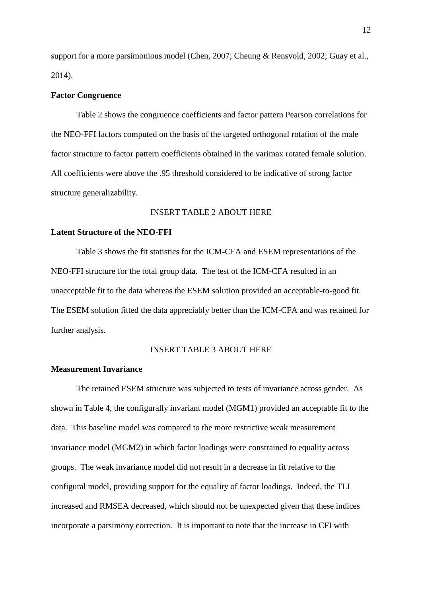support for a more parsimonious model [\(Chen, 2007;](#page-18-5) [Cheung & Rensvold, 2002;](#page-18-6) [Guay et al.,](#page-19-4)  [2014\)](#page-19-4).

#### **Factor Congruence**

Table 2 shows the congruence coefficients and factor pattern Pearson correlations for the NEO-FFI factors computed on the basis of the targeted orthogonal rotation of the male factor structure to factor pattern coefficients obtained in the varimax rotated female solution. All coefficients were above the .95 threshold considered to be indicative of strong factor structure generalizability.

## INSERT TABLE 2 ABOUT HERE

## **Latent Structure of the NEO-FFI**

Table 3 shows the fit statistics for the ICM-CFA and ESEM representations of the NEO-FFI structure for the total group data. The test of the ICM-CFA resulted in an unacceptable fit to the data whereas the ESEM solution provided an acceptable-to-good fit. The ESEM solution fitted the data appreciably better than the ICM-CFA and was retained for further analysis.

## INSERT TABLE 3 ABOUT HERE

## **Measurement Invariance**

The retained ESEM structure was subjected to tests of invariance across gender. As shown in Table 4, the configurally invariant model (MGM1) provided an acceptable fit to the data. This baseline model was compared to the more restrictive weak measurement invariance model (MGM2) in which factor loadings were constrained to equality across groups. The weak invariance model did not result in a decrease in fit relative to the configural model, providing support for the equality of factor loadings. Indeed, the TLI increased and RMSEA decreased, which should not be unexpected given that these indices incorporate a parsimony correction. It is important to note that the increase in CFI with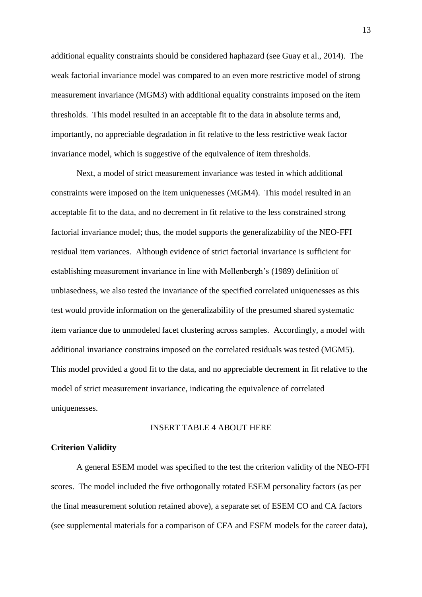additional equality constraints should be considered haphazard (see Guay et al., 2014). The weak factorial invariance model was compared to an even more restrictive model of strong measurement invariance (MGM3) with additional equality constraints imposed on the item thresholds. This model resulted in an acceptable fit to the data in absolute terms and, importantly, no appreciable degradation in fit relative to the less restrictive weak factor invariance model, which is suggestive of the equivalence of item thresholds.

Next, a model of strict measurement invariance was tested in which additional constraints were imposed on the item uniquenesses (MGM4). This model resulted in an acceptable fit to the data, and no decrement in fit relative to the less constrained strong factorial invariance model; thus, the model supports the generalizability of the NEO-FFI residual item variances. Although evidence of strict factorial invariance is sufficient for establishing measurement invariance in line with Mellenbergh's (1989) definition of unbiasedness, we also tested the invariance of the specified correlated uniquenesses as this test would provide information on the generalizability of the presumed shared systematic item variance due to unmodeled facet clustering across samples. Accordingly, a model with additional invariance constrains imposed on the correlated residuals was tested (MGM5). This model provided a good fit to the data, and no appreciable decrement in fit relative to the model of strict measurement invariance, indicating the equivalence of correlated uniquenesses.

#### INSERT TABLE 4 ABOUT HERE

## **Criterion Validity**

A general ESEM model was specified to the test the criterion validity of the NEO-FFI scores. The model included the five orthogonally rotated ESEM personality factors (as per the final measurement solution retained above), a separate set of ESEM CO and CA factors (see supplemental materials for a comparison of CFA and ESEM models for the career data),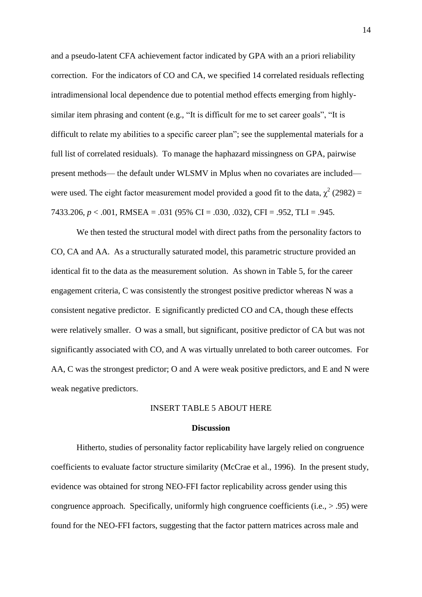and a pseudo-latent CFA achievement factor indicated by GPA with an a priori reliability correction. For the indicators of CO and CA, we specified 14 correlated residuals reflecting intradimensional local dependence due to potential method effects emerging from highlysimilar item phrasing and content (e.g., "It is difficult for me to set career goals", "It is difficult to relate my abilities to a specific career plan"; see the supplemental materials for a full list of correlated residuals). To manage the haphazard missingness on GPA, pairwise present methods— the default under WLSMV in Mplus when no covariates are included were used. The eight factor measurement model provided a good fit to the data,  $\chi^2$  (2982) = 7433.206, *p* < .001, RMSEA = .031 (95% CI = .030, .032), CFI = .952, TLI = .945.

We then tested the structural model with direct paths from the personality factors to CO, CA and AA. As a structurally saturated model, this parametric structure provided an identical fit to the data as the measurement solution. As shown in Table 5, for the career engagement criteria, C was consistently the strongest positive predictor whereas N was a consistent negative predictor. E significantly predicted CO and CA, though these effects were relatively smaller. O was a small, but significant, positive predictor of CA but was not significantly associated with CO, and A was virtually unrelated to both career outcomes. For AA, C was the strongest predictor; O and A were weak positive predictors, and E and N were weak negative predictors.

## INSERT TABLE 5 ABOUT HERE

#### **Discussion**

Hitherto, studies of personality factor replicability have largely relied on congruence coefficients to evaluate factor structure similarity [\(McCrae et al., 1996\)](#page-21-0). In the present study, evidence was obtained for strong NEO-FFI factor replicability across gender using this congruence approach. Specifically, uniformly high congruence coefficients (i.e., > .95) were found for the NEO-FFI factors, suggesting that the factor pattern matrices across male and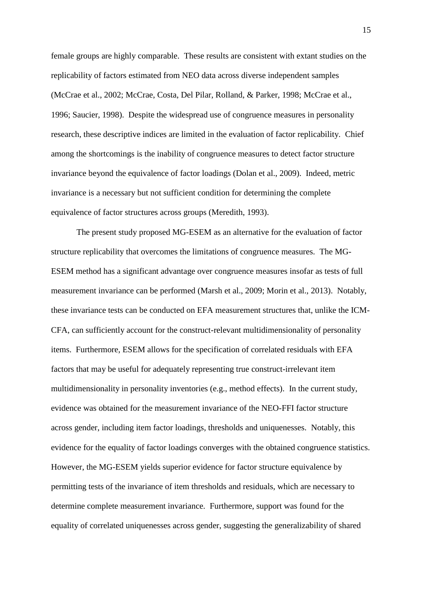female groups are highly comparable. These results are consistent with extant studies on the replicability of factors estimated from NEO data across diverse independent samples [\(McCrae et al., 2002;](#page-21-3) [McCrae, Costa, Del Pilar, Rolland, & Parker, 1998;](#page-21-4) [McCrae et al.,](#page-21-0)  [1996;](#page-21-0) [Saucier, 1998\)](#page-23-1). Despite the widespread use of congruence measures in personality research, these descriptive indices are limited in the evaluation of factor replicability. Chief among the shortcomings is the inability of congruence measures to detect factor structure invariance beyond the equivalence of factor loadings (Dolan et al., 2009). Indeed, metric invariance is a necessary but not sufficient condition for determining the complete equivalence of factor structures across groups (Meredith, 1993).

The present study proposed MG-ESEM as an alternative for the evaluation of factor structure replicability that overcomes the limitations of congruence measures. The MG-ESEM method has a significant advantage over congruence measures insofar as tests of full measurement invariance can be performed (Marsh et al., 2009; Morin et al., 2013). Notably, these invariance tests can be conducted on EFA measurement structures that, unlike the ICM-CFA, can sufficiently account for the construct-relevant multidimensionality of personality items. Furthermore, ESEM allows for the specification of correlated residuals with EFA factors that may be useful for adequately representing true construct-irrelevant item multidimensionality in personality inventories (e.g., method effects). In the current study, evidence was obtained for the measurement invariance of the NEO-FFI factor structure across gender, including item factor loadings, thresholds and uniquenesses. Notably, this evidence for the equality of factor loadings converges with the obtained congruence statistics. However, the MG-ESEM yields superior evidence for factor structure equivalence by permitting tests of the invariance of item thresholds and residuals, which are necessary to determine complete measurement invariance. Furthermore, support was found for the equality of correlated uniquenesses across gender, suggesting the generalizability of shared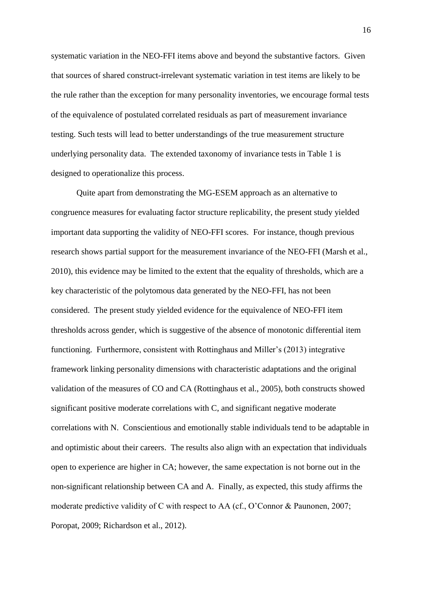systematic variation in the NEO-FFI items above and beyond the substantive factors. Given that sources of shared construct-irrelevant systematic variation in test items are likely to be the rule rather than the exception for many personality inventories, we encourage formal tests of the equivalence of postulated correlated residuals as part of measurement invariance testing. Such tests will lead to better understandings of the true measurement structure underlying personality data. The extended taxonomy of invariance tests in Table 1 is designed to operationalize this process.

Quite apart from demonstrating the MG-ESEM approach as an alternative to congruence measures for evaluating factor structure replicability, the present study yielded important data supporting the validity of NEO-FFI scores. For instance, though previous research shows partial support for the measurement invariance of the NEO-FFI (Marsh et al., 2010), this evidence may be limited to the extent that the equality of thresholds, which are a key characteristic of the polytomous data generated by the NEO-FFI, has not been considered. The present study yielded evidence for the equivalence of NEO-FFI item thresholds across gender, which is suggestive of the absence of monotonic differential item functioning. Furthermore, consistent with Rottinghaus and Miller's (2013) integrative framework linking personality dimensions with characteristic adaptations and the original validation of the measures of CO and CA (Rottinghaus et al., 2005), both constructs showed significant positive moderate correlations with C, and significant negative moderate correlations with N. Conscientious and emotionally stable individuals tend to be adaptable in and optimistic about their careers. The results also align with an expectation that individuals open to experience are higher in CA; however, the same expectation is not borne out in the non-significant relationship between CA and A. Finally, as expected, this study affirms the moderate predictive validity of C with respect to AA (cf., O'Connor & Paunonen, 2007; Poropat, 2009; Richardson et al., 2012).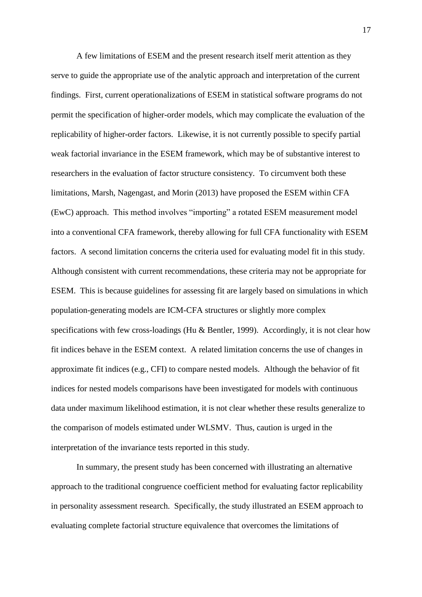A few limitations of ESEM and the present research itself merit attention as they serve to guide the appropriate use of the analytic approach and interpretation of the current findings. First, current operationalizations of ESEM in statistical software programs do not permit the specification of higher-order models, which may complicate the evaluation of the replicability of higher-order factors. Likewise, it is not currently possible to specify partial weak factorial invariance in the ESEM framework, which may be of substantive interest to researchers in the evaluation of factor structure consistency. To circumvent both these limitations, [Marsh, Nagengast, and Morin \(2013\)](#page-20-5) have proposed the ESEM within CFA (EwC) approach. This method involves "importing" a rotated ESEM measurement model into a conventional CFA framework, thereby allowing for full CFA functionality with ESEM factors. A second limitation concerns the criteria used for evaluating model fit in this study. Although consistent with current recommendations, these criteria may not be appropriate for ESEM. This is because guidelines for assessing fit are largely based on simulations in which population-generating models are ICM-CFA structures or slightly more complex specifications with few cross-loadings (Hu  $\&$  Bentler, 1999). Accordingly, it is not clear how fit indices behave in the ESEM context. A related limitation concerns the use of changes in approximate fit indices (e.g., CFI) to compare nested models. Although the behavior of fit indices for nested models comparisons have been investigated for models with continuous data under maximum likelihood estimation, it is not clear whether these results generalize to the comparison of models estimated under WLSMV. Thus, caution is urged in the interpretation of the invariance tests reported in this study.

In summary, the present study has been concerned with illustrating an alternative approach to the traditional congruence coefficient method for evaluating factor replicability in personality assessment research. Specifically, the study illustrated an ESEM approach to evaluating complete factorial structure equivalence that overcomes the limitations of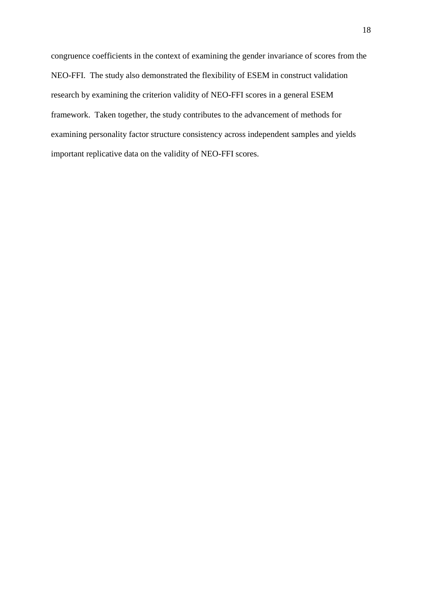congruence coefficients in the context of examining the gender invariance of scores from the NEO-FFI. The study also demonstrated the flexibility of ESEM in construct validation research by examining the criterion validity of NEO-FFI scores in a general ESEM framework. Taken together, the study contributes to the advancement of methods for examining personality factor structure consistency across independent samples and yields important replicative data on the validity of NEO-FFI scores.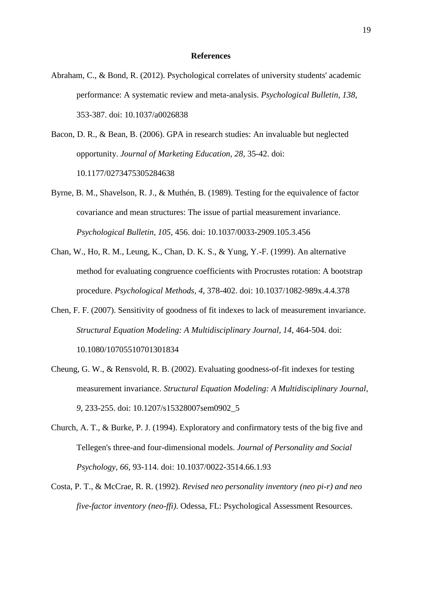### **References**

- Abraham, C., & Bond, R. (2012). Psychological correlates of university students' academic performance: A systematic review and meta-analysis. *Psychological Bulletin, 138*, 353-387. doi: 10.1037/a0026838
- <span id="page-18-4"></span>Bacon, D. R., & Bean, B. (2006). GPA in research studies: An invaluable but neglected opportunity. *Journal of Marketing Education, 28*, 35-42. doi: 10.1177/0273475305284638
- <span id="page-18-1"></span>Byrne, B. M., Shavelson, R. J., & Muthén, B. (1989). Testing for the equivalence of factor covariance and mean structures: The issue of partial measurement invariance. *Psychological Bulletin, 105*, 456. doi: 10.1037/0033-2909.105.3.456
- <span id="page-18-0"></span>Chan, W., Ho, R. M., Leung, K., Chan, D. K. S., & Yung, Y.-F. (1999). An alternative method for evaluating congruence coefficients with Procrustes rotation: A bootstrap procedure. *Psychological Methods, 4*, 378-402. doi: 10.1037/1082-989x.4.4.378
- <span id="page-18-5"></span>Chen, F. F. (2007). Sensitivity of goodness of fit indexes to lack of measurement invariance. *Structural Equation Modeling: A Multidisciplinary Journal, 14*, 464-504. doi: 10.1080/10705510701301834
- <span id="page-18-6"></span>Cheung, G. W., & Rensvold, R. B. (2002). Evaluating goodness-of-fit indexes for testing measurement invariance. *Structural Equation Modeling: A Multidisciplinary Journal, 9*, 233-255. doi: 10.1207/s15328007sem0902\_5
- <span id="page-18-2"></span>Church, A. T., & Burke, P. J. (1994). Exploratory and confirmatory tests of the big five and Tellegen's three-and four-dimensional models. *Journal of Personality and Social Psychology, 66*, 93-114. doi: 10.1037/0022-3514.66.1.93
- <span id="page-18-3"></span>Costa, P. T., & McCrae, R. R. (1992). *Revised neo personality inventory (neo pi-r) and neo five-factor inventory (neo-ffi)*. Odessa, FL: Psychological Assessment Resources.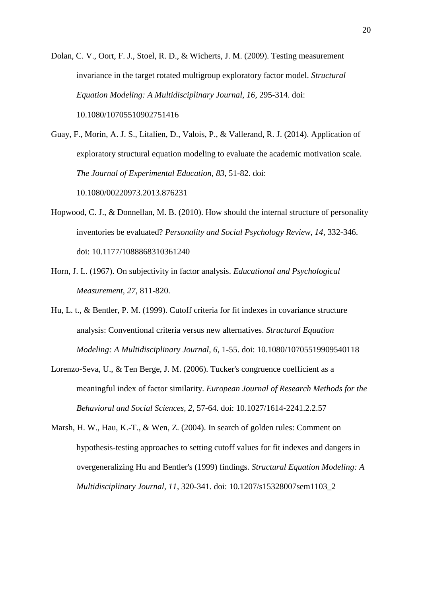<span id="page-19-2"></span>Dolan, C. V., Oort, F. J., Stoel, R. D., & Wicherts, J. M. (2009). Testing measurement invariance in the target rotated multigroup exploratory factor model. *Structural Equation Modeling: A Multidisciplinary Journal, 16*, 295-314. doi: 10.1080/10705510902751416

<span id="page-19-4"></span>Guay, F., Morin, A. J. S., Litalien, D., Valois, P., & Vallerand, R. J. (2014). Application of exploratory structural equation modeling to evaluate the academic motivation scale. *The Journal of Experimental Education*, *83*, 51-82. doi: 10.1080/00220973.2013.876231

- <span id="page-19-3"></span>Hopwood, C. J., & Donnellan, M. B. (2010). How should the internal structure of personality inventories be evaluated? *Personality and Social Psychology Review, 14*, 332-346. doi: 10.1177/1088868310361240
- <span id="page-19-1"></span>Horn, J. L. (1967). On subjectivity in factor analysis. *Educational and Psychological Measurement, 27*, 811-820.
- <span id="page-19-6"></span>Hu, L. t., & Bentler, P. M. (1999). Cutoff criteria for fit indexes in covariance structure analysis: Conventional criteria versus new alternatives. *Structural Equation Modeling: A Multidisciplinary Journal, 6*, 1-55. doi: 10.1080/10705519909540118
- <span id="page-19-0"></span>Lorenzo-Seva, U., & Ten Berge, J. M. (2006). Tucker's congruence coefficient as a meaningful index of factor similarity. *European Journal of Research Methods for the Behavioral and Social Sciences, 2*, 57-64. doi: 10.1027/1614-2241.2.2.57
- <span id="page-19-5"></span>Marsh, H. W., Hau, K.-T., & Wen, Z. (2004). In search of golden rules: Comment on hypothesis-testing approaches to setting cutoff values for fit indexes and dangers in overgeneralizing Hu and Bentler's (1999) findings. *Structural Equation Modeling: A Multidisciplinary Journal, 11*, 320-341. doi: 10.1207/s15328007sem1103\_2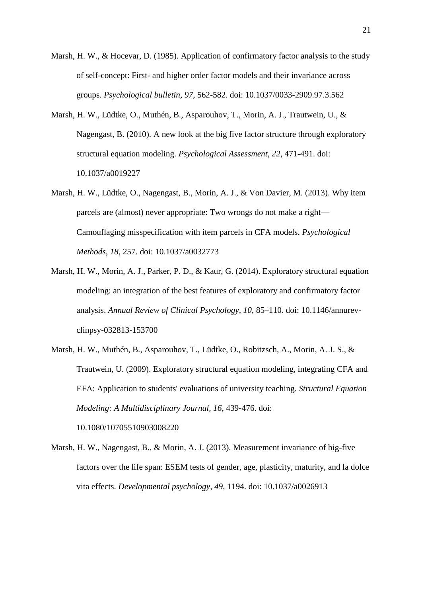- <span id="page-20-0"></span>Marsh, H. W., & Hocevar, D. (1985). Application of confirmatory factor analysis to the study of self-concept: First- and higher order factor models and their invariance across groups. *Psychological bulletin, 97*, 562-582. doi: 10.1037/0033-2909.97.3.562
- <span id="page-20-1"></span>Marsh, H. W., Lüdtke, O., Muthén, B., Asparouhov, T., Morin, A. J., Trautwein, U., & Nagengast, B. (2010). A new look at the big five factor structure through exploratory structural equation modeling. *Psychological Assessment, 22*, 471-491. doi: 10.1037/a0019227
- <span id="page-20-4"></span>Marsh, H. W., Lüdtke, O., Nagengast, B., Morin, A. J., & Von Davier, M. (2013). Why item parcels are (almost) never appropriate: Two wrongs do not make a right— Camouflaging misspecification with item parcels in CFA models. *Psychological Methods, 18*, 257. doi: 10.1037/a0032773
- <span id="page-20-2"></span>Marsh, H. W., Morin, A. J., Parker, P. D., & Kaur, G. (2014). Exploratory structural equation modeling: an integration of the best features of exploratory and confirmatory factor analysis. *Annual Review of Clinical Psychology, 10*, 85–110. doi: 10.1146/annurevclinpsy-032813-153700
- <span id="page-20-3"></span>Marsh, H. W., Muthén, B., Asparouhov, T., Lüdtke, O., Robitzsch, A., Morin, A. J. S., & Trautwein, U. (2009). Exploratory structural equation modeling, integrating CFA and EFA: Application to students' evaluations of university teaching. *Structural Equation Modeling: A Multidisciplinary Journal, 16*, 439-476. doi: 10.1080/10705510903008220
- <span id="page-20-5"></span>Marsh, H. W., Nagengast, B., & Morin, A. J. (2013). Measurement invariance of big-five factors over the life span: ESEM tests of gender, age, plasticity, maturity, and la dolce vita effects. *Developmental psychology, 49*, 1194. doi: 10.1037/a0026913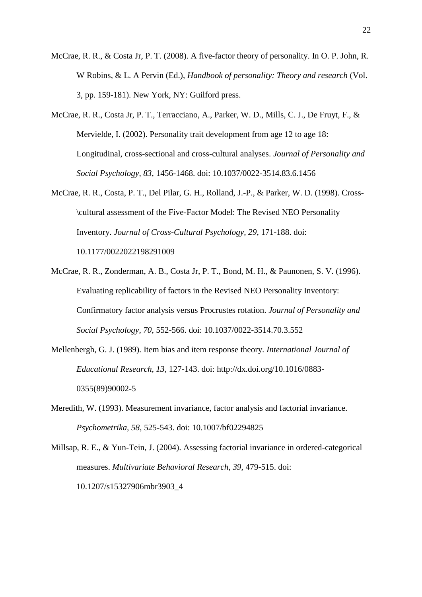- McCrae, R. R., & Costa Jr, P. T. (2008). A five-factor theory of personality. In O. P. John, R. W Robins, & L. A Pervin (Ed.), *Handbook of personality: Theory and research* (Vol. 3, pp. 159-181). New York, NY: Guilford press.
- <span id="page-21-3"></span>McCrae, R. R., Costa Jr, P. T., Terracciano, A., Parker, W. D., Mills, C. J., De Fruyt, F., & Mervielde, I. (2002). Personality trait development from age 12 to age 18: Longitudinal, cross-sectional and cross-cultural analyses. *Journal of Personality and Social Psychology, 83*, 1456-1468. doi: 10.1037/0022-3514.83.6.1456
- <span id="page-21-4"></span>McCrae, R. R., Costa, P. T., Del Pilar, G. H., Rolland, J.-P., & Parker, W. D. (1998). Cross- \cultural assessment of the Five-Factor Model: The Revised NEO Personality Inventory. *Journal of Cross-Cultural Psychology, 29*, 171-188. doi: 10.1177/0022022198291009
- <span id="page-21-0"></span>McCrae, R. R., Zonderman, A. B., Costa Jr, P. T., Bond, M. H., & Paunonen, S. V. (1996). Evaluating replicability of factors in the Revised NEO Personality Inventory: Confirmatory factor analysis versus Procrustes rotation. *Journal of Personality and Social Psychology, 70*, 552-566. doi: 10.1037/0022-3514.70.3.552
- Mellenbergh, G. J. (1989). Item bias and item response theory. *International Journal of Educational Research, 13*, 127-143. doi: http://dx.doi.org/10.1016/0883- 0355(89)90002-5
- <span id="page-21-1"></span>Meredith, W. (1993). Measurement invariance, factor analysis and factorial invariance. *Psychometrika, 58*, 525-543. doi: 10.1007/bf02294825
- <span id="page-21-2"></span>Millsap, R. E., & Yun-Tein, J. (2004). Assessing factorial invariance in ordered-categorical measures. *Multivariate Behavioral Research, 39*, 479-515. doi: 10.1207/s15327906mbr3903\_4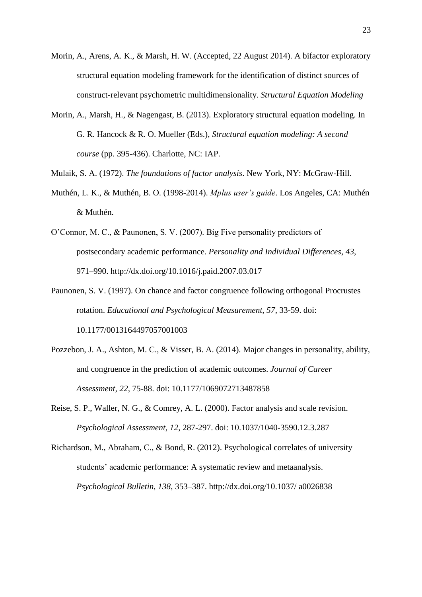- <span id="page-22-3"></span>Morin, A., Arens, A. K., & Marsh, H. W. (Accepted, 22 August 2014). A bifactor exploratory structural equation modeling framework for the identification of distinct sources of construct-relevant psychometric multidimensionality. *Structural Equation Modeling*
- <span id="page-22-4"></span>Morin, A., Marsh, H., & Nagengast, B. (2013). Exploratory structural equation modeling. In G. R. Hancock & R. O. Mueller (Eds.), *Structural equation modeling: A second course* (pp. 395-436). Charlotte, NC: IAP.
- <span id="page-22-0"></span>Mulaik, S. A. (1972). *The foundations of factor analysis*. New York, NY: McGraw-Hill.
- <span id="page-22-5"></span>Muthén, L. K., & Muthén, B. O. (1998-2014). *Mplus user's guide*. Los Angeles, CA: Muthén & Muthén.
- O'Connor, M. C., & Paunonen, S. V. (2007). Big Five personality predictors of postsecondary academic performance. *Personality and Individual Differences*, *43*, 971–990. http://dx.doi.org/10.1016/j.paid.2007.03.017
- <span id="page-22-1"></span>Paunonen, S. V. (1997). On chance and factor congruence following orthogonal Procrustes rotation. *Educational and Psychological Measurement, 57*, 33-59. doi: 10.1177/0013164497057001003
- Pozzebon, J. A., Ashton, M. C., & Visser, B. A. (2014). Major changes in personality, ability, and congruence in the prediction of academic outcomes. *Journal of Career Assessment, 22*, 75-88. doi: 10.1177/1069072713487858
- <span id="page-22-2"></span>Reise, S. P., Waller, N. G., & Comrey, A. L. (2000). Factor analysis and scale revision. *Psychological Assessment, 12*, 287-297. doi: 10.1037/1040-3590.12.3.287
- Richardson, M., Abraham, C., & Bond, R. (2012). Psychological correlates of university students' academic performance: A systematic review and metaanalysis. *Psychological Bulletin, 138*, 353–387. http://dx.doi.org/10.1037/ a0026838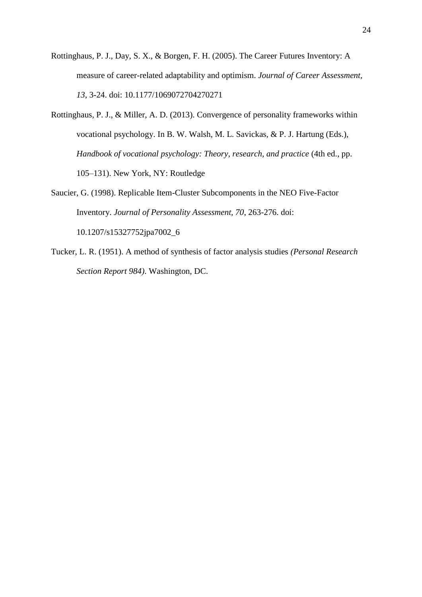- <span id="page-23-0"></span>Rottinghaus, P. J., Day, S. X., & Borgen, F. H. (2005). The Career Futures Inventory: A measure of career-related adaptability and optimism. *Journal of Career Assessment, 13*, 3-24. doi: 10.1177/1069072704270271
- Rottinghaus, P. J., & Miller, A. D. (2013). Convergence of personality frameworks within vocational psychology. In B. W. Walsh, M. L. Savickas, & P. J. Hartung (Eds.), *Handbook of vocational psychology: Theory, research, and practice (4th ed., pp.* 105–131). New York, NY: Routledge
- <span id="page-23-1"></span>Saucier, G. (1998). Replicable Item-Cluster Subcomponents in the NEO Five-Factor Inventory. *Journal of Personality Assessment, 70*, 263-276. doi: 10.1207/s15327752jpa7002\_6
- Tucker, L. R. (1951). A method of synthesis of factor analysis studies *(Personal Research Section Report 984)*. Washington, DC.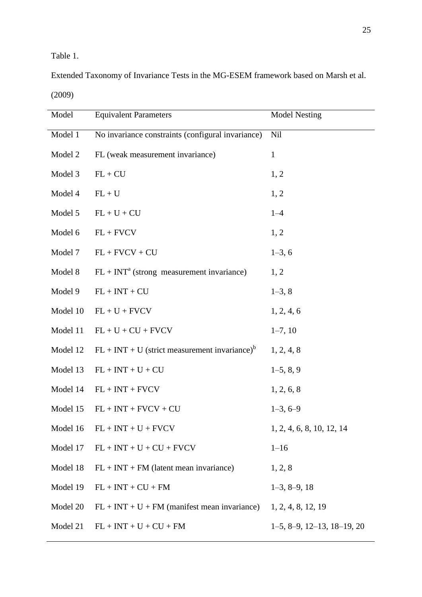Table 1.

Extended Taxonomy of Invariance Tests in the MG-ESEM framework based on Marsh et al. (2009)

| Model    | <b>Equivalent Parameters</b>                                | <b>Model Nesting</b>                     |  |  |  |  |
|----------|-------------------------------------------------------------|------------------------------------------|--|--|--|--|
| Model 1  | No invariance constraints (configural invariance)           | Nil                                      |  |  |  |  |
| Model 2  | FL (weak measurement invariance)                            | $\mathbf{1}$                             |  |  |  |  |
| Model 3  | $FL + CU$                                                   | 1, 2                                     |  |  |  |  |
| Model 4  | $FL + U$                                                    | 1, 2                                     |  |  |  |  |
| Model 5  | $FL + U + CU$                                               | $1 - 4$                                  |  |  |  |  |
| Model 6  | $FL + FVCV$                                                 | 1, 2                                     |  |  |  |  |
| Model 7  | $FL + FVCV + CU$                                            | $1-3, 6$                                 |  |  |  |  |
| Model 8  | $FL + INTa$ (strong measurement invariance)                 | 1, 2                                     |  |  |  |  |
| Model 9  | $FL + INT + CU$                                             | $1-3, 8$                                 |  |  |  |  |
| Model 10 | $FL + U + FVCV$                                             | 1, 2, 4, 6                               |  |  |  |  |
| Model 11 | $FL + U + CU + FVCV$                                        | $1-7, 10$                                |  |  |  |  |
| Model 12 | $FL + INT + U$ (strict measurement invariance) <sup>b</sup> | 1, 2, 4, 8                               |  |  |  |  |
| Model 13 | $FL + INT + U + CU$                                         | $1-5, 8, 9$                              |  |  |  |  |
| Model 14 | $FL + INT + FVCV$                                           | 1, 2, 6, 8                               |  |  |  |  |
| Model 15 | $FL + INT + FVCV + CU$                                      | $1-3, 6-9$                               |  |  |  |  |
| Model 16 | $FL + INT + U + FVCV$                                       | 1, 2, 4, 6, 8, 10, 12, 14                |  |  |  |  |
| Model 17 | $FL + INT + U + CU + FVCV$                                  | $1 - 16$                                 |  |  |  |  |
| Model 18 | $FL + INT + FM$ (latent mean invariance)                    | 1, 2, 8                                  |  |  |  |  |
| Model 19 | $FL + INT + CU + FM$                                        | $1-3, 8-9, 18$                           |  |  |  |  |
| Model 20 | $FL + INT + U + FM$ (manifest mean invariance)              | 1, 2, 4, 8, 12, 19                       |  |  |  |  |
| Model 21 | $FL + INT + U + CU + FM$                                    | $1-5$ , $8-9$ , $12-13$ , $18-19$ , $20$ |  |  |  |  |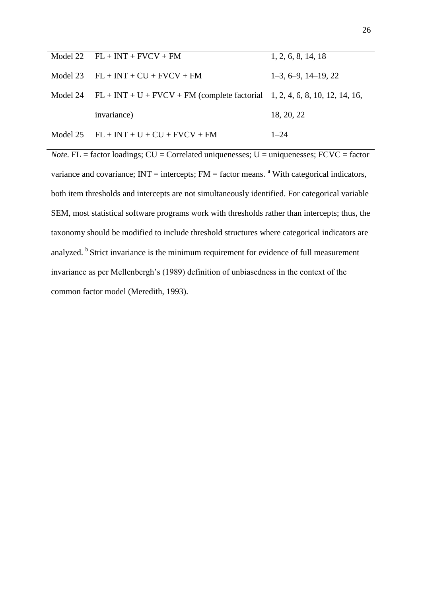| Model 22 $FL + INT + FVCV + FM$                                                        | 1, 2, 6, 8, 14, 18    |
|----------------------------------------------------------------------------------------|-----------------------|
| Model 23 $FL + INT + CU + FVCV + FM$                                                   | $1-3, 6-9, 14-19, 22$ |
| Model 24 $FL + INT + U + FVCV + FM$ (complete factorial 1, 2, 4, 6, 8, 10, 12, 14, 16, |                       |
| invariance)                                                                            | 18, 20, 22            |
| Model 25 $FL + INT + U + CU + FVCV + FM$                                               | $1 - 24$              |

*Note*. FL = factor loadings;  $CU =$  Correlated uniquenesses;  $U =$  uniquenesses;  $FCVC =$  factor variance and covariance;  $INT =$  intercepts;  $FM =$  factor means. <sup>a</sup> With categorical indicators, both item thresholds and intercepts are not simultaneously identified. For categorical variable SEM, most statistical software programs work with thresholds rather than intercepts; thus, the taxonomy should be modified to include threshold structures where categorical indicators are analyzed. <sup>b</sup> Strict invariance is the minimum requirement for evidence of full measurement invariance as per Mellenbergh's (1989) definition of unbiasedness in the context of the common factor model (Meredith, 1993).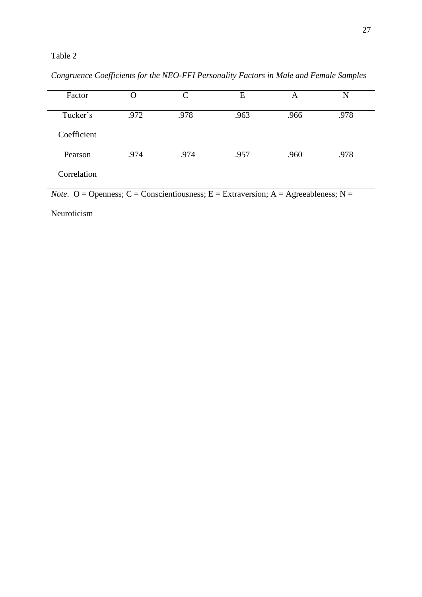| Factor      |      | $\mathcal{C}_{\mathcal{C}}$ | E    | A    | N    |
|-------------|------|-----------------------------|------|------|------|
| Tucker's    | .972 | .978                        | .963 | .966 | .978 |
| Coefficient |      |                             |      |      |      |
| Pearson     | .974 | .974                        | .957 | .960 | .978 |
| Correlation |      |                             |      |      |      |

*Congruence Coefficients for the NEO-FFI Personality Factors in Male and Female Samples* 

*Note*. O = Openness; C = Conscientiousness; E = Extraversion; A = Agreeableness; N =

Neuroticism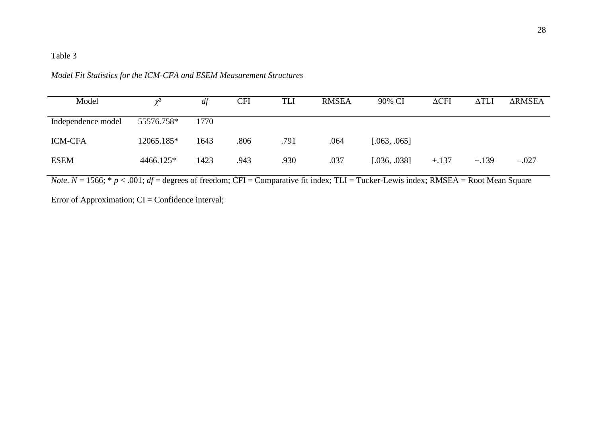## *Model Fit Statistics for the ICM-CFA and ESEM Measurement Structures*

| Model              | $\gamma^2$ | df   | <b>CFI</b> | TLI  | <b>RMSEA</b> | 90% CI       | $\Delta$ CFI | ΔTLI    | <b>ARMSEA</b> |
|--------------------|------------|------|------------|------|--------------|--------------|--------------|---------|---------------|
| Independence model | 55576.758* | 1770 |            |      |              |              |              |         |               |
| <b>ICM-CFA</b>     | 12065.185* | 1643 | .806       | .791 | .064         | [.063, .065] |              |         |               |
| <b>ESEM</b>        | 4466.125*  | 1423 | .943       | .930 | .037         | [.036, .038] | $+.137$      | $+.139$ | $-.027$       |

*Note*.  $N = 1566$ ;  $* p < .001$ ; *df* = degrees of freedom; CFI = Comparative fit index; TLI = Tucker-Lewis index; RMSEA = Root Mean Square

Error of Approximation; CI = Confidence interval;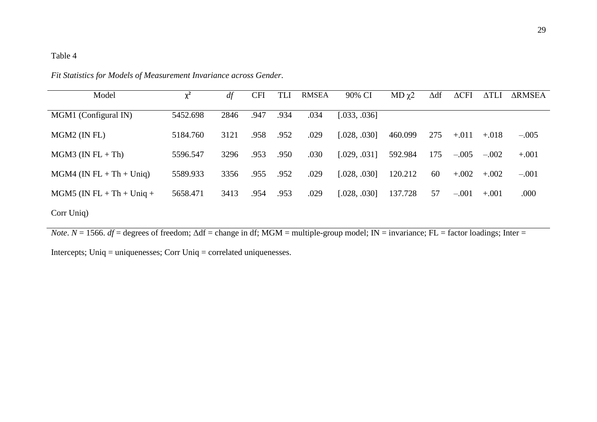| Model                       | $v^2$    | df   | <b>CFI</b> | <b>TLI</b> | <b>RMSEA</b> | 90% CI       | $MD \gamma2$ | $\Delta df$ | $\Delta$ CFI | $\Delta TLI$ | <b>ARMSEA</b> |
|-----------------------------|----------|------|------------|------------|--------------|--------------|--------------|-------------|--------------|--------------|---------------|
| MGM1 (Configural IN)        | 5452.698 | 2846 | .947       | .934       | .034         | [.033, .036] |              |             |              |              |               |
| $MGM2$ (IN FL)              | 5184.760 | 3121 | .958       | .952       | .029         | [.028, .030] | 460.099      | 275         | $+.011$      | $+.018$      | $-.005$       |
| $MGM3$ (IN FL + Th)         | 5596.547 | 3296 | .953       | .950       | .030         | [.029, .031] | 592.984      | 175         | $-.005$      | $-.002$      | $+.001$       |
| $MGM4$ (IN FL + Th + Uniq)  | 5589.933 | 3356 | .955       | .952       | .029         | [.028, .030] | 120.212      | 60          | $+.002$      | $+.002$      | $-.001$       |
| $MGM5$ (IN FL + Th + Uniq + | 5658.471 | 3413 | .954       | .953       | .029         | [.028, .030] | 137.728      | 57          | $-.001$      | $+.001$      | .000          |
| Corr Uniq)                  |          |      |            |            |              |              |              |             |              |              |               |

*Fit Statistics for Models of Measurement Invariance across Gender*.

*Note*.  $N = 1566$ .  $df =$  degrees of freedom;  $\Delta df =$  change in df; MGM = multiple-group model; IN = invariance; FL = factor loadings; Inter =

Intercepts; Uniq = uniquenesses; Corr Uniq = correlated uniquenesses.